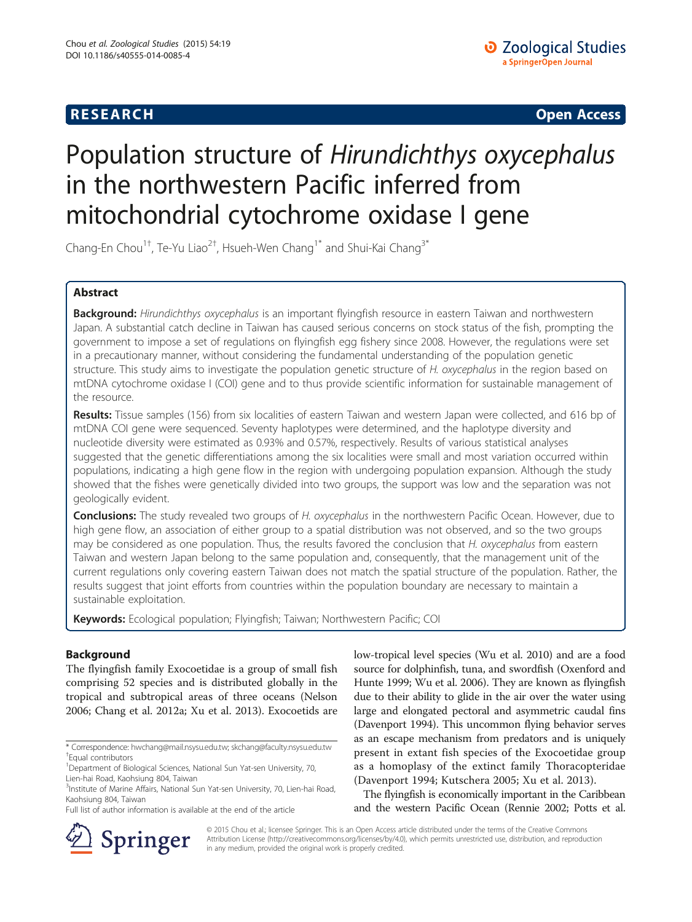**RESEARCH CHINESE ARCH CHINESE ARCH CHINESE ARCH <b>CHINESE ARCH** 

# Population structure of Hirundichthys oxycephalus in the northwestern Pacific inferred from mitochondrial cytochrome oxidase I gene

Chang-En Chou<sup>1†</sup>, Te-Yu Liao<sup>2†</sup>, Hsueh-Wen Chang<sup>1\*</sup> and Shui-Kai Chang<sup>3\*</sup>

# Abstract

Background: Hirundichthys oxycephalus is an important flyingfish resource in eastern Taiwan and northwestern Japan. A substantial catch decline in Taiwan has caused serious concerns on stock status of the fish, prompting the government to impose a set of regulations on flyingfish egg fishery since 2008. However, the regulations were set in a precautionary manner, without considering the fundamental understanding of the population genetic structure. This study aims to investigate the population genetic structure of H. oxycephalus in the region based on mtDNA cytochrome oxidase I (COI) gene and to thus provide scientific information for sustainable management of the resource.

Results: Tissue samples (156) from six localities of eastern Taiwan and western Japan were collected, and 616 bp of mtDNA COI gene were sequenced. Seventy haplotypes were determined, and the haplotype diversity and nucleotide diversity were estimated as 0.93% and 0.57%, respectively. Results of various statistical analyses suggested that the genetic differentiations among the six localities were small and most variation occurred within populations, indicating a high gene flow in the region with undergoing population expansion. Although the study showed that the fishes were genetically divided into two groups, the support was low and the separation was not geologically evident.

Conclusions: The study revealed two groups of H. oxycephalus in the northwestern Pacific Ocean. However, due to high gene flow, an association of either group to a spatial distribution was not observed, and so the two groups may be considered as one population. Thus, the results favored the conclusion that H. oxycephalus from eastern Taiwan and western Japan belong to the same population and, consequently, that the management unit of the current regulations only covering eastern Taiwan does not match the spatial structure of the population. Rather, the results suggest that joint efforts from countries within the population boundary are necessary to maintain a sustainable exploitation.

Keywords: Ecological population; Flyingfish; Taiwan; Northwestern Pacific; COI

# Background

The flyingfish family Exocoetidae is a group of small fish comprising 52 species and is distributed globally in the tropical and subtropical areas of three oceans (Nelson [2006](#page-7-0); Chang et al. [2012a;](#page-6-0) Xu et al. [2013](#page-8-0)). Exocoetids are low-tropical level species (Wu et al. [2010\)](#page-8-0) and are a food source for dolphinfish, tuna, and swordfish (Oxenford and Hunte [1999](#page-7-0); Wu et al. [2006\)](#page-8-0). They are known as flyingfish due to their ability to glide in the air over the water using large and elongated pectoral and asymmetric caudal fins (Davenport [1994](#page-6-0)). This uncommon flying behavior serves as an escape mechanism from predators and is uniquely present in extant fish species of the Exocoetidae group as a homoplasy of the extinct family Thoracopteridae (Davenport [1994;](#page-6-0) Kutschera [2005;](#page-7-0) Xu et al. [2013](#page-8-0)).

The flyingfish is economically important in the Caribbean and the western Pacific Ocean (Rennie [2002;](#page-7-0) Potts et al.



© 2015 Chou et al.; licensee Springer. This is an Open Access article distributed under the terms of the Creative Commons Attribution License [\(http://creativecommons.org/licenses/by/4.0\)](http://creativecommons.org/licenses/by/4.0), which permits unrestricted use, distribution, and reproduction in any medium, provided the original work is properly credited.

<sup>\*</sup> Correspondence: [hwchang@mail.nsysu.edu.tw;](mailto:hwchang@mail.nsysu.edu.tw) [skchang@faculty.nsysu.edu.tw](mailto:skchang@faculty.nsysu.edu.tw) † Equal contributors

<sup>&</sup>lt;sup>1</sup>Department of Biological Sciences, National Sun Yat-sen University, 70, Lien-hai Road, Kaohsiung 804, Taiwan

<sup>&</sup>lt;sup>3</sup>Institute of Marine Affairs, National Sun Yat-sen University, 70, Lien-hai Road, Kaohsiung 804, Taiwan

Full list of author information is available at the end of the article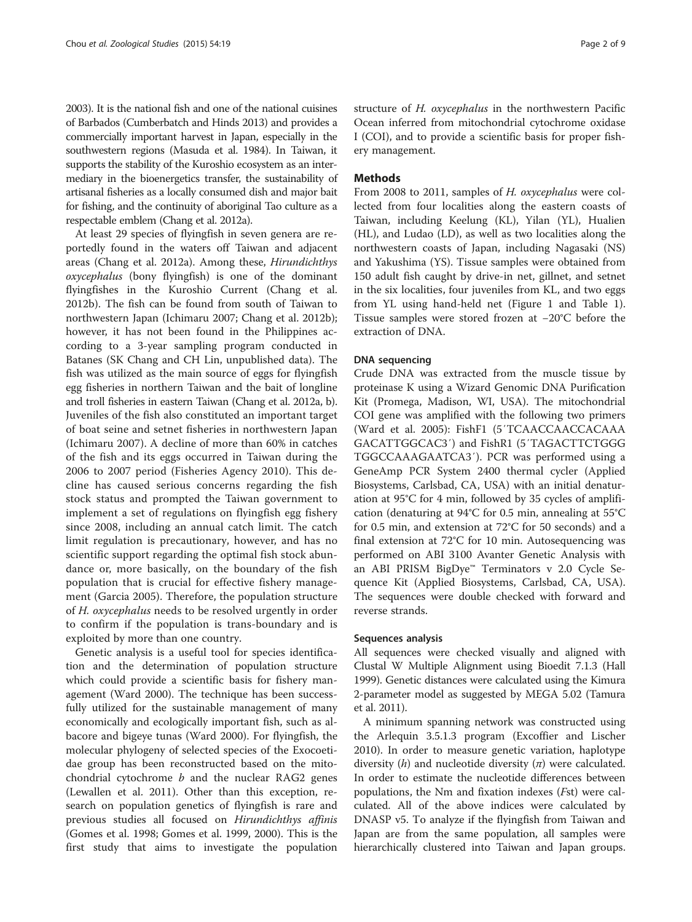[2003\)](#page-7-0). It is the national fish and one of the national cuisines of Barbados (Cumberbatch and Hinds [2013\)](#page-6-0) and provides a commercially important harvest in Japan, especially in the southwestern regions (Masuda et al. [1984](#page-7-0)). In Taiwan, it supports the stability of the Kuroshio ecosystem as an intermediary in the bioenergetics transfer, the sustainability of artisanal fisheries as a locally consumed dish and major bait for fishing, and the continuity of aboriginal Tao culture as a respectable emblem (Chang et al. [2012a](#page-6-0)).

At least 29 species of flyingfish in seven genera are reportedly found in the waters off Taiwan and adjacent areas (Chang et al. [2012a\)](#page-6-0). Among these, Hirundichthys oxycephalus (bony flyingfish) is one of the dominant flyingfishes in the Kuroshio Current (Chang et al. [2012b](#page-6-0)). The fish can be found from south of Taiwan to northwestern Japan (Ichimaru [2007;](#page-7-0) Chang et al. [2012b](#page-6-0)); however, it has not been found in the Philippines according to a 3-year sampling program conducted in Batanes (SK Chang and CH Lin, unpublished data). The fish was utilized as the main source of eggs for flyingfish egg fisheries in northern Taiwan and the bait of longline and troll fisheries in eastern Taiwan (Chang et al. [2012a](#page-6-0), [b](#page-6-0)). Juveniles of the fish also constituted an important target of boat seine and setnet fisheries in northwestern Japan (Ichimaru [2007\)](#page-7-0). A decline of more than 60% in catches of the fish and its eggs occurred in Taiwan during the 2006 to 2007 period (Fisheries Agency [2010\)](#page-7-0). This decline has caused serious concerns regarding the fish stock status and prompted the Taiwan government to implement a set of regulations on flyingfish egg fishery since 2008, including an annual catch limit. The catch limit regulation is precautionary, however, and has no scientific support regarding the optimal fish stock abundance or, more basically, on the boundary of the fish population that is crucial for effective fishery management (Garcia [2005](#page-7-0)). Therefore, the population structure of H. oxycephalus needs to be resolved urgently in order to confirm if the population is trans-boundary and is exploited by more than one country.

Genetic analysis is a useful tool for species identification and the determination of population structure which could provide a scientific basis for fishery management (Ward [2000\)](#page-8-0). The technique has been successfully utilized for the sustainable management of many economically and ecologically important fish, such as albacore and bigeye tunas (Ward [2000](#page-8-0)). For flyingfish, the molecular phylogeny of selected species of the Exocoetidae group has been reconstructed based on the mitochondrial cytochrome  $b$  and the nuclear RAG2 genes (Lewallen et al. [2011](#page-7-0)). Other than this exception, research on population genetics of flyingfish is rare and previous studies all focused on Hirundichthys affinis (Gomes et al. [1998](#page-7-0); Gomes et al. [1999, 2000\)](#page-7-0). This is the first study that aims to investigate the population

structure of H. oxycephalus in the northwestern Pacific Ocean inferred from mitochondrial cytochrome oxidase I (COI), and to provide a scientific basis for proper fishery management.

# Methods

From 2008 to 2011, samples of H. oxycephalus were collected from four localities along the eastern coasts of Taiwan, including Keelung (KL), Yilan (YL), Hualien (HL), and Ludao (LD), as well as two localities along the northwestern coasts of Japan, including Nagasaki (NS) and Yakushima (YS). Tissue samples were obtained from 150 adult fish caught by drive-in net, gillnet, and setnet in the six localities, four juveniles from KL, and two eggs from YL using hand-held net (Figure [1](#page-2-0) and Table [1](#page-2-0)). Tissue samples were stored frozen at −20°C before the extraction of DNA.

#### DNA sequencing

Crude DNA was extracted from the muscle tissue by proteinase K using a Wizard Genomic DNA Purification Kit (Promega, Madison, WI, USA). The mitochondrial COI gene was amplified with the following two primers (Ward et al. [2005](#page-8-0)): FishF1 (5′TCAACCAACCACAAA GACATTGGCAC3′) and FishR1 (5′TAGACTTCTGGG TGGCCAAAGAATCA3′). PCR was performed using a GeneAmp PCR System 2400 thermal cycler (Applied Biosystems, Carlsbad, CA, USA) with an initial denaturation at 95°C for 4 min, followed by 35 cycles of amplification (denaturing at 94°C for 0.5 min, annealing at 55°C for 0.5 min, and extension at 72°C for 50 seconds) and a final extension at 72°C for 10 min. Autosequencing was performed on ABI 3100 Avanter Genetic Analysis with an ABI PRISM BigDye™ Terminators v 2.0 Cycle Sequence Kit (Applied Biosystems, Carlsbad, CA, USA). The sequences were double checked with forward and reverse strands.

# Sequences analysis

All sequences were checked visually and aligned with Clustal W Multiple Alignment using Bioedit 7.1.3 (Hall [1999](#page-7-0)). Genetic distances were calculated using the Kimura 2-parameter model as suggested by MEGA 5.02 (Tamura et al. [2011](#page-8-0)).

A minimum spanning network was constructed using the Arlequin 3.5.1.3 program (Excoffier and Lischer [2010](#page-6-0)). In order to measure genetic variation, haplotype diversity (*h*) and nucleotide diversity ( $\pi$ ) were calculated. In order to estimate the nucleotide differences between populations, the Nm and fixation indexes (Fst) were calculated. All of the above indices were calculated by DNASP v5. To analyze if the flyingfish from Taiwan and Japan are from the same population, all samples were hierarchically clustered into Taiwan and Japan groups.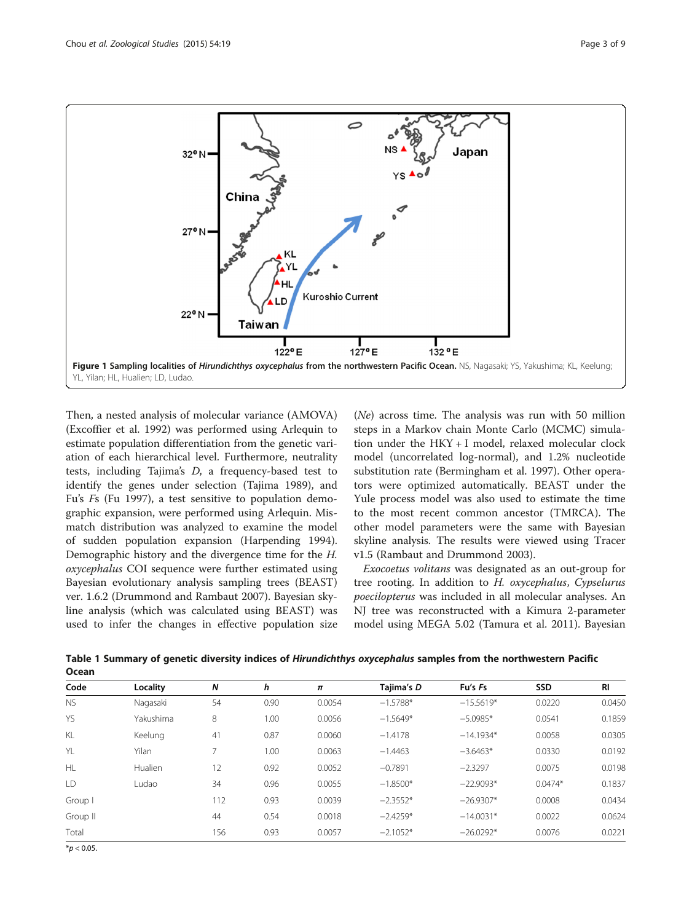

<span id="page-2-0"></span>

Then, a nested analysis of molecular variance (AMOVA) (Excoffier et al. [1992\)](#page-7-0) was performed using Arlequin to estimate population differentiation from the genetic variation of each hierarchical level. Furthermore, neutrality tests, including Tajima's D, a frequency-based test to identify the genes under selection (Tajima [1989\)](#page-8-0), and Fu's Fs (Fu [1997](#page-7-0)), a test sensitive to population demographic expansion, were performed using Arlequin. Mismatch distribution was analyzed to examine the model of sudden population expansion (Harpending [1994](#page-7-0)). Demographic history and the divergence time for the H. oxycephalus COI sequence were further estimated using Bayesian evolutionary analysis sampling trees (BEAST) ver. 1.6.2 (Drummond and Rambaut [2007\)](#page-6-0). Bayesian skyline analysis (which was calculated using BEAST) was used to infer the changes in effective population size

(Ne) across time. The analysis was run with 50 million steps in a Markov chain Monte Carlo (MCMC) simulation under the HKY + I model, relaxed molecular clock model (uncorrelated log-normal), and 1.2% nucleotide substitution rate (Bermingham et al. [1997](#page-6-0)). Other operators were optimized automatically. BEAST under the Yule process model was also used to estimate the time to the most recent common ancestor (TMRCA). The other model parameters were the same with Bayesian skyline analysis. The results were viewed using Tracer v1.5 (Rambaut and Drummond [2003\)](#page-7-0).

Exocoetus volitans was designated as an out-group for tree rooting. In addition to H. oxycephalus, Cypselurus poecilopterus was included in all molecular analyses. An NJ tree was reconstructed with a Kimura 2-parameter model using MEGA 5.02 (Tamura et al. [2011](#page-8-0)). Bayesian

| Code      | Locality  | N   | h    | $\pmb{\pi}$ | Tajima's D | Fu's Fs     | <b>SSD</b> | RI     |
|-----------|-----------|-----|------|-------------|------------|-------------|------------|--------|
| <b>NS</b> | Nagasaki  | 54  | 0.90 | 0.0054      | $-1.5788*$ | $-15.5619*$ | 0.0220     | 0.0450 |
| <b>YS</b> | Yakushima | 8   | 1.00 | 0.0056      | $-1.5649*$ | $-5.0985*$  | 0.0541     | 0.1859 |
| KL        | Keelung   | 41  | 0.87 | 0.0060      | $-1.4178$  | $-14.1934*$ | 0.0058     | 0.0305 |
| YL        | Yilan     | 7   | 1.00 | 0.0063      | $-1.4463$  | $-3.6463*$  | 0.0330     | 0.0192 |
| HL        | Hualien   | 12  | 0.92 | 0.0052      | $-0.7891$  | $-2.3297$   | 0.0075     | 0.0198 |
| LD        | Ludao     | 34  | 0.96 | 0.0055      | $-1.8500*$ | $-22.9093*$ | $0.0474*$  | 0.1837 |
| Group I   |           | 112 | 0.93 | 0.0039      | $-2.3552*$ | $-26.9307*$ | 0.0008     | 0.0434 |
| Group II  |           | 44  | 0.54 | 0.0018      | $-2.4259*$ | $-14.0031*$ | 0.0022     | 0.0624 |
| Total     |           | 156 | 0.93 | 0.0057      | $-2.1052*$ | $-26.0292*$ | 0.0076     | 0.0221 |
|           |           |     |      |             |            |             |            |        |

Table 1 Summary of genetic diversity indices of Hirundichthys oxycephalus samples from the northwestern Pacific **Ocean** 

 $*$ *p* < 0.05.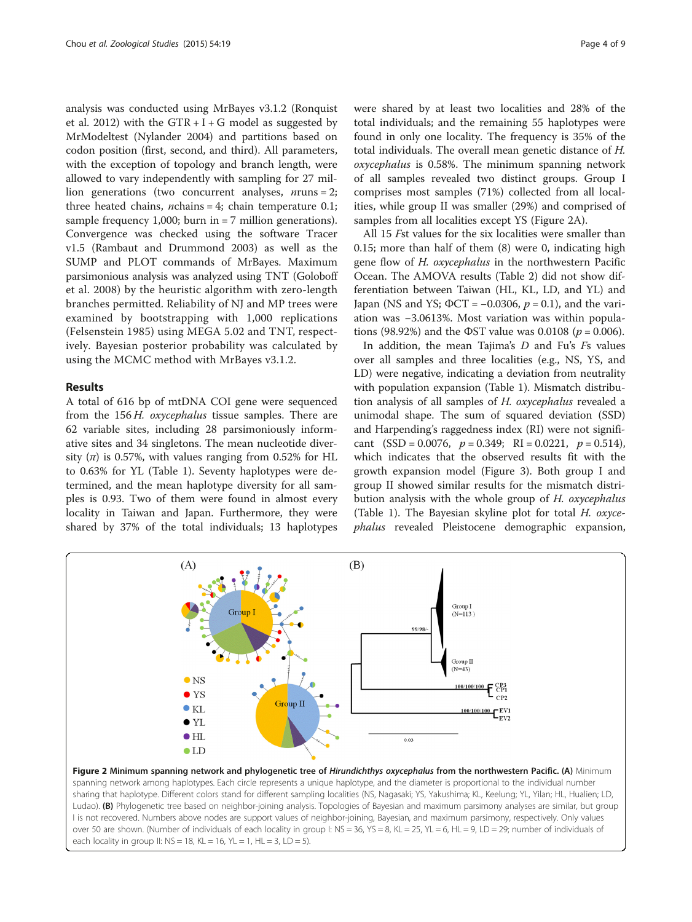<span id="page-3-0"></span>analysis was conducted using MrBayes v3.1.2 (Ronquist et al. [2012\)](#page-7-0) with the  $GTR + I + G$  model as suggested by MrModeltest (Nylander [2004](#page-7-0)) and partitions based on codon position (first, second, and third). All parameters, with the exception of topology and branch length, were allowed to vary independently with sampling for 27 million generations (two concurrent analyses,  $n_{\text{runs}} = 2$ ; three heated chains, *n*chains = 4; chain temperature 0.1; sample frequency 1,000; burn in  $= 7$  million generations). Convergence was checked using the software Tracer v1.5 (Rambaut and Drummond [2003\)](#page-7-0) as well as the SUMP and PLOT commands of MrBayes. Maximum parsimonious analysis was analyzed using TNT (Goloboff et al. [2008\)](#page-7-0) by the heuristic algorithm with zero-length branches permitted. Reliability of NJ and MP trees were examined by bootstrapping with 1,000 replications (Felsenstein [1985\)](#page-7-0) using MEGA 5.02 and TNT, respectively. Bayesian posterior probability was calculated by using the MCMC method with MrBayes v3.1.2.

### Results

A total of 616 bp of mtDNA COI gene were sequenced from the 156 H. oxycephalus tissue samples. There are 62 variable sites, including 28 parsimoniously informative sites and 34 singletons. The mean nucleotide diversity  $(\pi)$  is 0.57%, with values ranging from 0.52% for HL to 0.63% for YL (Table [1\)](#page-2-0). Seventy haplotypes were determined, and the mean haplotype diversity for all samples is 0.93. Two of them were found in almost every locality in Taiwan and Japan. Furthermore, they were shared by 37% of the total individuals; 13 haplotypes were shared by at least two localities and 28% of the total individuals; and the remaining 55 haplotypes were found in only one locality. The frequency is 35% of the total individuals. The overall mean genetic distance of H. oxycephalus is 0.58%. The minimum spanning network of all samples revealed two distinct groups. Group I comprises most samples (71%) collected from all localities, while group II was smaller (29%) and comprised of samples from all localities except YS (Figure 2A).

All 15 Fst values for the six localities were smaller than 0.15; more than half of them (8) were 0, indicating high gene flow of H. oxycephalus in the northwestern Pacific Ocean. The AMOVA results (Table [2\)](#page-4-0) did not show differentiation between Taiwan (HL, KL, LD, and YL) and Japan (NS and YS;  $\Phi$ CT = -0.0306,  $p = 0.1$ ), and the variation was −3.0613%. Most variation was within populations (98.92%) and the  $\Phi$ ST value was 0.0108 ( $p = 0.006$ ).

In addition, the mean Tajima's  $D$  and Fu's  $Fs$  values over all samples and three localities (e.g., NS, YS, and LD) were negative, indicating a deviation from neutrality with population expansion (Table [1\)](#page-2-0). Mismatch distribution analysis of all samples of H. oxycephalus revealed a unimodal shape. The sum of squared deviation (SSD) and Harpending's raggedness index (RI) were not significant (SSD = 0.0076,  $p = 0.349$ ; RI = 0.0221,  $p = 0.514$ ), which indicates that the observed results fit with the growth expansion model (Figure [3\)](#page-4-0). Both group I and group II showed similar results for the mismatch distribution analysis with the whole group of H. oxycephalus (Table [1](#page-2-0)). The Bayesian skyline plot for total  $H$ . oxycephalus revealed Pleistocene demographic expansion,



sharing that haplotype. Different colors stand for different sampling localities (NS, Nagasaki; YS, Yakushima; KL, Keelung; YL, Yilan; HL, Hualien; LD, Ludao). (B) Phylogenetic tree based on neighbor-joining analysis. Topologies of Bayesian and maximum parsimony analyses are similar, but group I is not recovered. Numbers above nodes are support values of neighbor-joining, Bayesian, and maximum parsimony, respectively. Only values over 50 are shown. (Number of individuals of each locality in group I: NS = 36, YS = 8, KL = 25, YL = 6, HL = 9, LD = 29; number of individuals of each locality in group II:  $NS = 18$ ,  $KL = 16$ ,  $YL = 1$ ,  $HL = 3$ ,  $LD = 5$ ).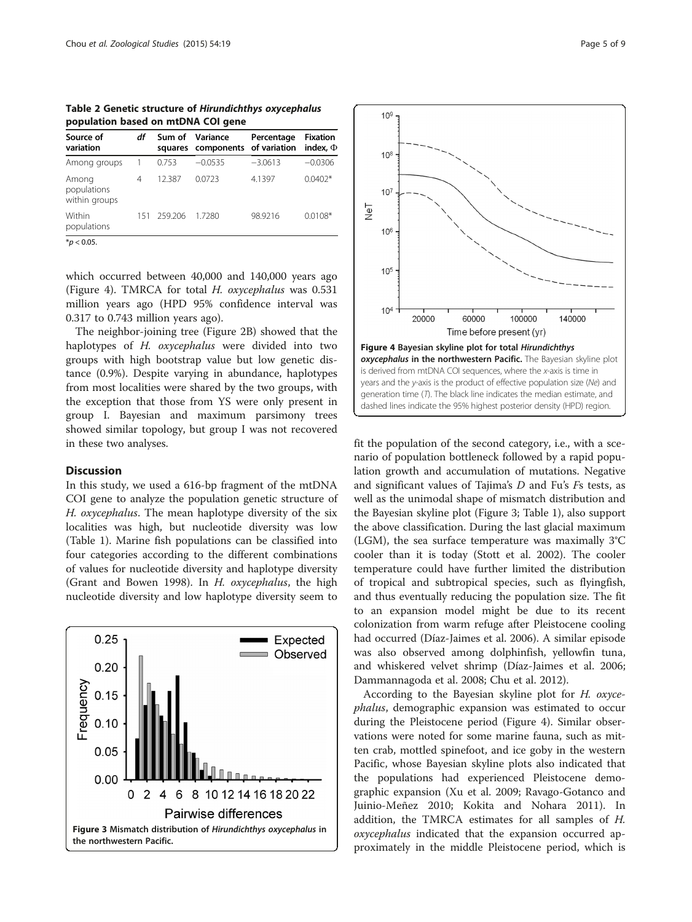<span id="page-4-0"></span>Table 2 Genetic structure of Hirundichthys oxycephalus population based on mtDNA COI gene

| Source of<br>variation                | df  | Sum of  | Variance<br>squares components of variation | Percentage | <b>Fixation</b><br>index. $\Phi$ |
|---------------------------------------|-----|---------|---------------------------------------------|------------|----------------------------------|
| Among groups                          |     | 0.753   | $-0.0535$                                   | $-3.0613$  | $-0.0306$                        |
| Among<br>populations<br>within groups | 4   | 12.387  | 0.0723                                      | 4.1397     | $0.0402*$                        |
| Within<br>populations                 | 151 | 259.206 | 1.7280                                      | 98.9216    | $0.0108*$                        |
| * $p < 0.05$ .                        |     |         |                                             |            |                                  |

which occurred between 40,000 and 140,000 years ago (Figure 4). TMRCA for total H. oxycephalus was 0.531 million years ago (HPD 95% confidence interval was 0.317 to 0.743 million years ago).

The neighbor-joining tree (Figure [2B](#page-3-0)) showed that the haplotypes of H. oxycephalus were divided into two groups with high bootstrap value but low genetic distance (0.9%). Despite varying in abundance, haplotypes from most localities were shared by the two groups, with the exception that those from YS were only present in group I. Bayesian and maximum parsimony trees showed similar topology, but group I was not recovered in these two analyses.

#### **Discussion**

In this study, we used a 616-bp fragment of the mtDNA COI gene to analyze the population genetic structure of H. oxycephalus. The mean haplotype diversity of the six localities was high, but nucleotide diversity was low (Table [1\)](#page-2-0). Marine fish populations can be classified into four categories according to the different combinations of values for nucleotide diversity and haplotype diversity (Grant and Bowen [1998\)](#page-7-0). In H. oxycephalus, the high nucleotide diversity and low haplotype diversity seem to





fit the population of the second category, i.e., with a scenario of population bottleneck followed by a rapid population growth and accumulation of mutations. Negative and significant values of Tajima's D and Fu's Fs tests, as well as the unimodal shape of mismatch distribution and the Bayesian skyline plot (Figure 3; Table [1](#page-2-0)), also support the above classification. During the last glacial maximum (LGM), the sea surface temperature was maximally 3°C cooler than it is today (Stott et al. [2002\)](#page-8-0). The cooler temperature could have further limited the distribution of tropical and subtropical species, such as flyingfish, and thus eventually reducing the population size. The fit to an expansion model might be due to its recent colonization from warm refuge after Pleistocene cooling had occurred (Díaz-Jaimes et al. [2006\)](#page-6-0). A similar episode was also observed among dolphinfish, yellowfin tuna, and whiskered velvet shrimp (Díaz-Jaimes et al. [2006](#page-6-0); Dammannagoda et al. [2008;](#page-6-0) Chu et al. [2012](#page-6-0)).

According to the Bayesian skyline plot for H. oxycephalus, demographic expansion was estimated to occur during the Pleistocene period (Figure 4). Similar observations were noted for some marine fauna, such as mitten crab, mottled spinefoot, and ice goby in the western Pacific, whose Bayesian skyline plots also indicated that the populations had experienced Pleistocene demographic expansion (Xu et al. [2009](#page-8-0); Ravago-Gotanco and Juinio-Meñez [2010](#page-7-0); Kokita and Nohara [2011](#page-7-0)). In addition, the TMRCA estimates for all samples of H. oxycephalus indicated that the expansion occurred approximately in the middle Pleistocene period, which is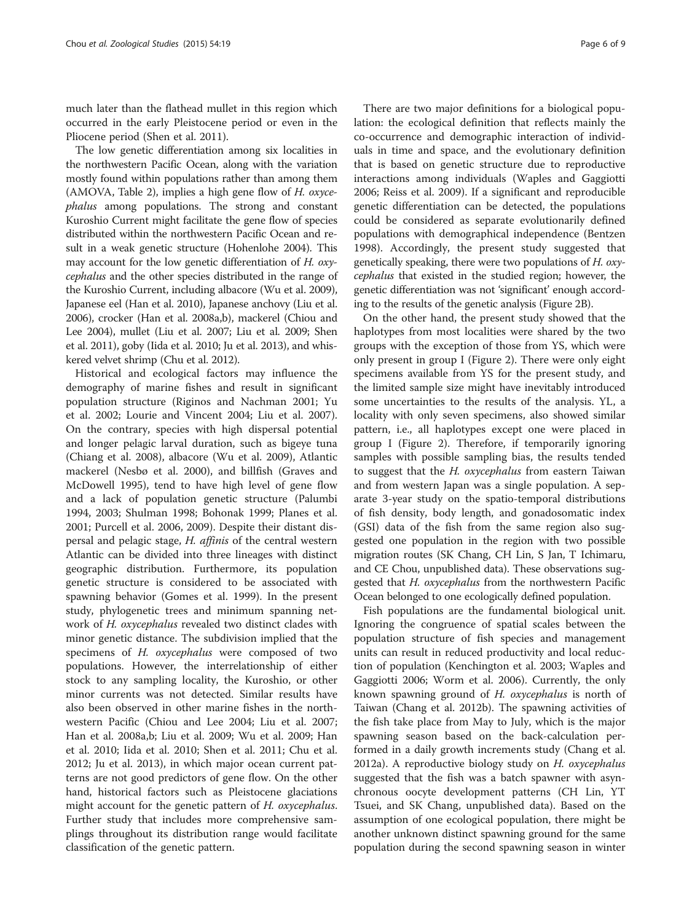much later than the flathead mullet in this region which occurred in the early Pleistocene period or even in the Pliocene period (Shen et al. [2011\)](#page-8-0).

The low genetic differentiation among six localities in the northwestern Pacific Ocean, along with the variation mostly found within populations rather than among them (AMOVA, Table [2](#page-4-0)), implies a high gene flow of  $H$ . oxycephalus among populations. The strong and constant Kuroshio Current might facilitate the gene flow of species distributed within the northwestern Pacific Ocean and result in a weak genetic structure (Hohenlohe [2004](#page-7-0)). This may account for the low genetic differentiation of H. oxycephalus and the other species distributed in the range of the Kuroshio Current, including albacore (Wu et al. [2009](#page-8-0)), Japanese eel (Han et al. [2010\)](#page-7-0), Japanese anchovy (Liu et al. [2006\)](#page-7-0), crocker (Han et al. [2008a,b](#page-7-0)), mackerel (Chiou and Lee [2004](#page-6-0)), mullet (Liu et al. [2007](#page-7-0); Liu et al. [2009](#page-7-0); Shen et al. [2011](#page-8-0)), goby (Iida et al. [2010;](#page-7-0) Ju et al. [2013\)](#page-7-0), and whiskered velvet shrimp (Chu et al. [2012](#page-6-0)).

Historical and ecological factors may influence the demography of marine fishes and result in significant population structure (Riginos and Nachman [2001;](#page-7-0) Yu et al. [2002;](#page-8-0) Lourie and Vincent [2004](#page-7-0); Liu et al. [2007](#page-7-0)). On the contrary, species with high dispersal potential and longer pelagic larval duration, such as bigeye tuna (Chiang et al. [2008](#page-6-0)), albacore (Wu et al. [2009\)](#page-8-0), Atlantic mackerel (Nesbø et al. [2000\)](#page-7-0), and billfish (Graves and McDowell [1995](#page-7-0)), tend to have high level of gene flow and a lack of population genetic structure (Palumbi [1994](#page-7-0), [2003](#page-7-0); Shulman [1998;](#page-8-0) Bohonak [1999;](#page-6-0) Planes et al. [2001](#page-7-0); Purcell et al. [2006](#page-7-0), [2009](#page-7-0)). Despite their distant dispersal and pelagic stage, H. affinis of the central western Atlantic can be divided into three lineages with distinct geographic distribution. Furthermore, its population genetic structure is considered to be associated with spawning behavior (Gomes et al. [1999](#page-7-0)). In the present study, phylogenetic trees and minimum spanning network of H. oxycephalus revealed two distinct clades with minor genetic distance. The subdivision implied that the specimens of H. oxycephalus were composed of two populations. However, the interrelationship of either stock to any sampling locality, the Kuroshio, or other minor currents was not detected. Similar results have also been observed in other marine fishes in the northwestern Pacific (Chiou and Lee [2004;](#page-6-0) Liu et al. [2007](#page-7-0); Han et al. [2008a,b](#page-7-0); Liu et al. [2009](#page-7-0); Wu et al. [2009](#page-8-0); Han et al. [2010;](#page-7-0) Iida et al. [2010;](#page-7-0) Shen et al. [2011](#page-8-0); Chu et al. [2012](#page-6-0); Ju et al. [2013\)](#page-7-0), in which major ocean current patterns are not good predictors of gene flow. On the other hand, historical factors such as Pleistocene glaciations might account for the genetic pattern of H. oxycephalus. Further study that includes more comprehensive samplings throughout its distribution range would facilitate classification of the genetic pattern.

There are two major definitions for a biological population: the ecological definition that reflects mainly the co-occurrence and demographic interaction of individuals in time and space, and the evolutionary definition that is based on genetic structure due to reproductive interactions among individuals (Waples and Gaggiotti [2006](#page-8-0); Reiss et al. [2009](#page-7-0)). If a significant and reproducible genetic differentiation can be detected, the populations could be considered as separate evolutionarily defined populations with demographical independence (Bentzen [1998](#page-6-0)). Accordingly, the present study suggested that genetically speaking, there were two populations of  $H$ . oxycephalus that existed in the studied region; however, the genetic differentiation was not 'significant' enough according to the results of the genetic analysis (Figure [2](#page-3-0)B).

On the other hand, the present study showed that the haplotypes from most localities were shared by the two groups with the exception of those from YS, which were only present in group I (Figure [2\)](#page-3-0). There were only eight specimens available from YS for the present study, and the limited sample size might have inevitably introduced some uncertainties to the results of the analysis. YL, a locality with only seven specimens, also showed similar pattern, i.e., all haplotypes except one were placed in group I (Figure [2](#page-3-0)). Therefore, if temporarily ignoring samples with possible sampling bias, the results tended to suggest that the H. oxycephalus from eastern Taiwan and from western Japan was a single population. A separate 3-year study on the spatio-temporal distributions of fish density, body length, and gonadosomatic index (GSI) data of the fish from the same region also suggested one population in the region with two possible migration routes (SK Chang, CH Lin, S Jan, T Ichimaru, and CE Chou, unpublished data). These observations suggested that H. oxycephalus from the northwestern Pacific Ocean belonged to one ecologically defined population.

Fish populations are the fundamental biological unit. Ignoring the congruence of spatial scales between the population structure of fish species and management units can result in reduced productivity and local reduction of population (Kenchington et al. [2003;](#page-7-0) Waples and Gaggiotti [2006](#page-8-0); Worm et al. [2006\)](#page-8-0). Currently, the only known spawning ground of H. oxycephalus is north of Taiwan (Chang et al. [2012b](#page-6-0)). The spawning activities of the fish take place from May to July, which is the major spawning season based on the back-calculation performed in a daily growth increments study (Chang et al. [2012a\)](#page-6-0). A reproductive biology study on H. oxycephalus suggested that the fish was a batch spawner with asynchronous oocyte development patterns (CH Lin, YT Tsuei, and SK Chang, unpublished data). Based on the assumption of one ecological population, there might be another unknown distinct spawning ground for the same population during the second spawning season in winter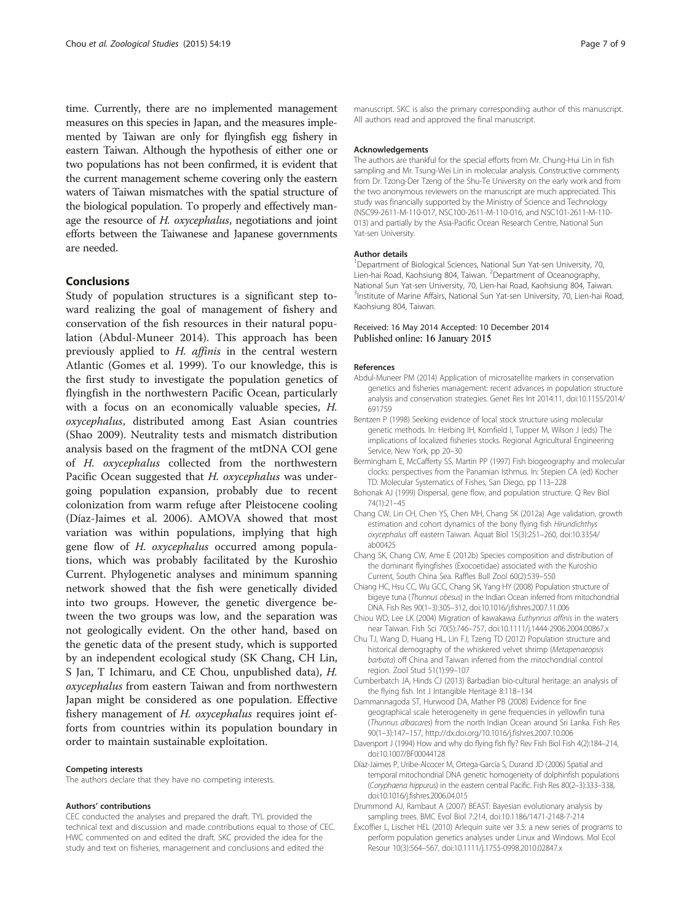<span id="page-6-0"></span>time. Currently, there are no implemented management measures on this species in Japan, and the measures implemented by Taiwan are only for flyingfish egg fishery in eastern Taiwan. Although the hypothesis of either one or two populations has not been confirmed, it is evident that the current management scheme covering only the eastern waters of Taiwan mismatches with the spatial structure of the biological population. To properly and effectively manage the resource of H. oxycephalus, negotiations and joint efforts between the Taiwanese and Japanese governments are needed.

# Conclusions

Study of population structures is a significant step toward realizing the goal of management of fishery and conservation of the fish resources in their natural population (Abdul-Muneer 2014). This approach has been previously applied to H. affinis in the central western Atlantic (Gomes et al. [1999](#page-7-0)). To our knowledge, this is the first study to investigate the population genetics of flyingfish in the northwestern Pacific Ocean, particularly with a focus on an economically valuable species, H. oxycephalus, distributed among East Asian countries (Shao [2009](#page-7-0)). Neutrality tests and mismatch distribution analysis based on the fragment of the mtDNA COI gene of H. oxycephalus collected from the northwestern Pacific Ocean suggested that H. oxycephalus was undergoing population expansion, probably due to recent colonization from warm refuge after Pleistocene cooling (Díaz-Jaimes et al. 2006). AMOVA showed that most variation was within populations, implying that high gene flow of H. oxycephalus occurred among populations, which was probably facilitated by the Kuroshio Current. Phylogenetic analyses and minimum spanning network showed that the fish were genetically divided into two groups. However, the genetic divergence between the two groups was low, and the separation was not geologically evident. On the other hand, based on the genetic data of the present study, which is supported by an independent ecological study (SK Chang, CH Lin, S Jan, T Ichimaru, and CE Chou, unpublished data), H. oxycephalus from eastern Taiwan and from northwestern Japan might be considered as one population. Effective fishery management of H. oxycephalus requires joint efforts from countries within its population boundary in order to maintain sustainable exploitation.

#### Competing interests

The authors declare that they have no competing interests.

#### Authors' contributions

CEC conducted the analyses and prepared the draft. TYL provided the technical text and discussion and made contributions equal to those of CEC. HWC commented on and edited the draft. SKC provided the idea for the study and text on fisheries, management and conclusions and edited the

manuscript. SKC is also the primary corresponding author of this manuscript. All authors read and approved the final manuscript.

#### Acknowledgements

The authors are thankful for the special efforts from Mr. Chung-Hui Lin in fish sampling and Mr. Tsung-Wei Lin in molecular analysis. Constructive comments from Dr. Tzong-Der Tzeng of the Shu-Te University on the early work and from the two anonymous reviewers on the manuscript are much appreciated. This study was financially supported by the Ministry of Science and Technology (NSC99-2611-M-110-017, NSC100-2611-M-110-016, and NSC101-2611-M-110- 013) and partially by the Asia-Pacific Ocean Research Centre, National Sun Yat-sen University.

#### Author details

<sup>1</sup>Department of Biological Sciences, National Sun Yat-sen University, 70 Lien-hai Road, Kaohsiung 804, Taiwan. <sup>2</sup> Department of Oceanography, National Sun Yat-sen University, 70, Lien-hai Road, Kaohsiung 804, Taiwan. <sup>3</sup>Institute of Marine Affairs, National Sun Yat-sen University, 70, Lien-hai Road Kaohsiung 804, Taiwan.

#### Received: 16 May 2014 Accepted: 10 December 2014 Published online: 16 January 2015

#### References

- Abdul-Muneer PM (2014) Application of microsatellite markers in conservation genetics and fisheries management: recent advances in population structure analysis and conservation strategies. Genet Res Int 2014:11, doi:10.1155/2014/ 691759
- Bentzen P (1998) Seeking evidence of local stock structure using molecular genetic methods. In: Herbing IH, Kornfield I, Tupper M, Wilson J (eds) The implications of localized fisheries stocks. Regional Agricultural Engineering Service, New York, pp 20–30
- Bermingham E, McCafferty SS, Martin PP (1997) Fish biogeography and molecular clocks: perspectives from the Panamian Isthmus. In: Stepien CA (ed) Kocher TD. Molecular Systematics of Fishes, San Diego, pp 113–228
- Bohonak AJ (1999) Dispersal, gene flow, and population structure. Q Rev Biol 74(1):21–45
- Chang CW, Lin CH, Chen YS, Chen MH, Chang SK (2012a) Age validation, growth estimation and cohort dynamics of the bony flying fish Hirundichthys oxycephalus off eastern Taiwan. Aquat Biol 15(3):251–260, doi:10.3354/ ab00425
- Chang SK, Chang CW, Ame E (2012b) Species composition and distribution of the dominant flyingfishes (Exocoetidae) associated with the Kuroshio Current, South China Sea. Raffles Bull Zool 60(2):539–550
- Chiang HC, Hsu CC, Wu GCC, Chang SK, Yang HY (2008) Population structure of bigeye tuna (Thunnus obesus) in the Indian Ocean inferred from mitochondrial DNA. Fish Res 90(1–3):305–312, doi:10.1016/j.fishres.2007.11.006
- Chiou WD, Lee LK (2004) Migration of kawakawa Euthynnus affinis in the waters near Taiwan. Fish Sci 70(5):746–757, doi:10.1111/j.1444-2906.2004.00867.x
- Chu TJ, Wang D, Huang HL, Lin FJ, Tzeng TD (2012) Population structure and historical demography of the whiskered velvet shrimp (Metapenaeopsis barbata) off China and Taiwan inferred from the mitochondrial control region. Zool Stud 51(1):99–107
- Cumberbatch JA, Hinds CJ (2013) Barbadian bio-cultural heritage: an analysis of the flying fish. Int J Intangible Heritage 8:118–134
- Dammannagoda ST, Hurwood DA, Mather PB (2008) Evidence for fine geographical scale heterogeneity in gene frequencies in yellowfin tuna (Thunnus albacares) from the north Indian Ocean around Sri Lanka. Fish Res 90(1–3):147–157,<http://dx.doi.org/10.1016/j.fishres.2007.10.006>
- Davenport J (1994) How and why do flying fish fly? Rev Fish Biol Fish 4(2):184–214, doi:10.1007/BF00044128
- Díaz-Jaimes P, Uribe-Alcocer M, Ortega-García S, Durand JD (2006) Spatial and temporal mitochondrial DNA genetic homogeneity of dolphinfish populations (Coryphaena hippurus) in the eastern central Pacific. Fish Res 80(2–3):333–338, doi:10.1016/j.fishres.2006.04.015
- Drummond AJ, Rambaut A (2007) BEAST: Bayesian evolutionary analysis by sampling trees. BMC Evol Biol 7:214, doi:10.1186/1471-2148-7-214
- Excoffier L, Lischer HEL (2010) Arlequin suite ver 3.5: a new series of programs to perform population genetics analyses under Linux and Windows. Mol Ecol Resour 10(3):564–567, doi:10.1111/j.1755-0998.2010.02847.x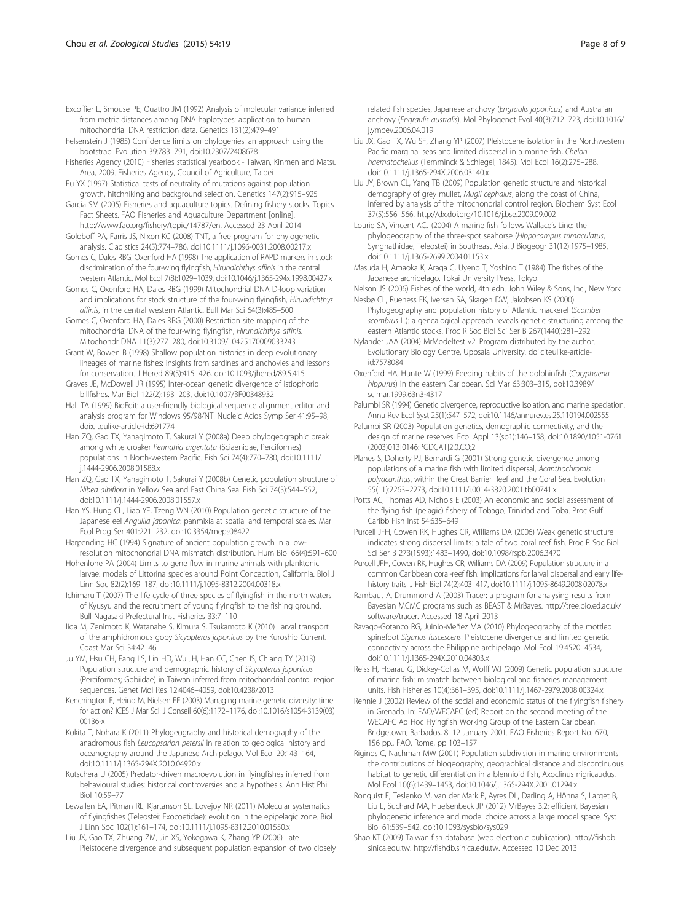<span id="page-7-0"></span>Felsenstein J (1985) Confidence limits on phylogenies: an approach using the bootstrap. Evolution 39:783–791, doi:10.2307/2408678

Fisheries Agency (2010) Fisheries statistical yearbook - Taiwan, Kinmen and Matsu Area, 2009. Fisheries Agency, Council of Agriculture, Taipei

Fu YX (1997) Statistical tests of neutrality of mutations against population growth, hitchhiking and background selection. Genetics 147(2):915–925

Garcia SM (2005) Fisheries and aquaculture topics. Defining fishery stocks. Topics Fact Sheets. FAO Fisheries and Aquaculture Department [online]. [http://www.fao.org/fishery/topic/14787/en.](http://www.fao.org/fishery/topic/14787/en) Accessed 23 April 2014

Goloboff PA, Farris JS, Nixon KC (2008) TNT, a free program for phylogenetic analysis. Cladistics 24(5):774–786, doi:10.1111/j.1096-0031.2008.00217.x

Gomes C, Dales RBG, Oxenford HA (1998) The application of RAPD markers in stock discrimination of the four-wing flyingfish, Hirundichthys affinis in the central western Atlantic. Mol Ecol 7(8):1029–1039, doi:10.1046/j.1365-294x.1998.00427.x

Gomes C, Oxenford HA, Dales RBG (1999) Mitochondrial DNA D-loop variation and implications for stock structure of the four-wing flyingfish, Hirundichthys affinis, in the central western Atlantic. Bull Mar Sci 64(3):485–500

Gomes C, Oxenford HA, Dales RBG (2000) Restriction site mapping of the mitochondrial DNA of the four-wing flyingfish, Hirundichthys affinis. Mitochondr DNA 11(3):277–280, doi:10.3109/10425170009033243

Grant W, Bowen B (1998) Shallow population histories in deep evolutionary lineages of marine fishes: insights from sardines and anchovies and lessons for conservation. J Hered 89(5):415–426, doi:10.1093/jhered/89.5.415

Graves JE, McDowell JR (1995) Inter-ocean genetic divergence of istiophorid billfishes. Mar Biol 122(2):193–203, doi:10.1007/BF00348932

Hall TA (1999) BioEdit: a user-friendly biological sequence alignment editor and analysis program for Windows 95/98/NT. Nucleic Acids Symp Ser 41:95–98, doi:citeulike-article-id:691774

Han ZQ, Gao TX, Yanagimoto T, Sakurai Y (2008a) Deep phylogeographic break among white croaker Pennahia argentata (Sciaenidae, Perciformes) populations in North-western Pacific. Fish Sci 74(4):770–780, doi:10.1111/ j.1444-2906.2008.01588.x

- Han ZQ, Gao TX, Yanagimoto T, Sakurai Y (2008b) Genetic population structure of Nibea albiflora in Yellow Sea and East China Sea. Fish Sci 74(3):544–552, doi:10.1111/j.1444-2906.2008.01557.x
- Han YS, Hung CL, Liao YF, Tzeng WN (2010) Population genetic structure of the Japanese eel Anguilla japonica: panmixia at spatial and temporal scales. Mar Ecol Prog Ser 401:221–232, doi:10.3354/meps08422

Harpending HC (1994) Signature of ancient population growth in a lowresolution mitochondrial DNA mismatch distribution. Hum Biol 66(4):591–600

Hohenlohe PA (2004) Limits to gene flow in marine animals with planktonic larvae: models of Littorina species around Point Conception, California. Biol J Linn Soc 82(2):169–187, doi:10.1111/j.1095-8312.2004.00318.x

Ichimaru T (2007) The life cycle of three species of flyingfish in the north waters of Kyusyu and the recruitment of young flyingfish to the fishing ground. Bull Nagasaki Prefectural Inst Fisheries 33:7–110

Iida M, Zenimoto K, Watanabe S, Kimura S, Tsukamoto K (2010) Larval transport of the amphidromous goby Sicyopterus japonicus by the Kuroshio Current. Coast Mar Sci 34:42–46

Ju YM, Hsu CH, Fang LS, Lin HD, Wu JH, Han CC, Chen IS, Chiang TY (2013) Population structure and demographic history of Sicyopterus japonicus (Perciformes; Gobiidae) in Taiwan inferred from mitochondrial control region sequences. Genet Mol Res 12:4046–4059, doi:10.4238/2013

Kenchington E, Heino M, Nielsen EE (2003) Managing marine genetic diversity: time for action? ICES J Mar Sci: J Conseil 60(6):1172–1176, doi:10.1016/s1054-3139(03) 00136-x

Kokita T, Nohara K (2011) Phylogeography and historical demography of the anadromous fish Leucopsarion petersii in relation to geological history and oceanography around the Japanese Archipelago. Mol Ecol 20:143–164, doi:10.1111/j.1365-294X.2010.04920.x

Kutschera U (2005) Predator-driven macroevolution in flyingfishes inferred from behavioural studies: historical controversies and a hypothesis. Ann Hist Phil Biol 10:59–77

Lewallen EA, Pitman RL, Kjartanson SL, Lovejoy NR (2011) Molecular systematics of flyingfishes (Teleostei: Exocoetidae): evolution in the epipelagic zone. Biol J Linn Soc 102(1):161–174, doi:10.1111/j.1095-8312.2010.01550.x

Liu JX, Gao TX, Zhuang ZM, Jin XS, Yokogawa K, Zhang YP (2006) Late Pleistocene divergence and subsequent population expansion of two closely

related fish species, Japanese anchovy (Engraulis japonicus) and Australian anchovy (Engraulis australis). Mol Phylogenet Evol 40(3):712–723, doi:10.1016/ j.ympev.2006.04.019

Liu JX, Gao TX, Wu SF, Zhang YP (2007) Pleistocene isolation in the Northwestern Pacific marginal seas and limited dispersal in a marine fish, Chelon haematocheilus (Temminck & Schlegel, 1845). Mol Ecol 16(2):275–288, doi:10.1111/j.1365-294X.2006.03140.x

Liu JY, Brown CL, Yang TB (2009) Population genetic structure and historical demography of grey mullet, Mugil cephalus, along the coast of China, inferred by analysis of the mitochondrial control region. Biochem Syst Ecol 37(5):556–566,<http://dx.doi.org/10.1016/j.bse.2009.09.002>

Lourie SA, Vincent ACJ (2004) A marine fish follows Wallace's Line: the phylogeography of the three-spot seahorse (Hippocampus trimaculatus, Syngnathidae, Teleostei) in Southeast Asia. J Biogeogr 31(12):1975–1985, doi:10.1111/j.1365-2699.2004.01153.x

Masuda H, Amaoka K, Araga C, Uyeno T, Yoshino T (1984) The fishes of the Japanese archipelago. Tokai University Press, Tokyo

Nelson JS (2006) Fishes of the world, 4th edn. John Wiley & Sons, Inc., New York Nesbø CL, Rueness EK, Iversen SA, Skagen DW, Jakobsen KS (2000)

Phylogeography and population history of Atlantic mackerel (Scomber scombrus L.): a genealogical approach reveals genetic structuring among the eastern Atlantic stocks. Proc R Soc Biol Sci Ser B 267(1440):281–292

Nylander JAA (2004) MrModeltest v2. Program distributed by the author. Evolutionary Biology Centre, Uppsala University. doi:citeulike-articleid:7578084

Oxenford HA, Hunte W (1999) Feeding habits of the dolphinfish (Coryphaena hippurus) in the eastern Caribbean. Sci Mar 63:303–315, doi:10.3989/ scimar.1999.63n3-4317

Palumbi SR (1994) Genetic divergence, reproductive isolation, and marine speciation. Annu Rev Ecol Syst 25(1):547–572, doi:10.1146/annurev.es.25.110194.002555

Palumbi SR (2003) Population genetics, demographic connectivity, and the design of marine reserves. Ecol Appl 13(sp1):146–158, doi:10.1890/1051-0761 (2003)013[0146:PGDCAT]2.0.CO;2

Planes S, Doherty PJ, Bernardi G (2001) Strong genetic divergence among populations of a marine fish with limited dispersal, Acanthochromis polyacanthus, within the Great Barrier Reef and the Coral Sea. Evolution 55(11):2263–2273, doi:10.1111/j.0014-3820.2001.tb00741.x

Potts AC, Thomas AD, Nichols E (2003) An economic and social assessment of the flying fish (pelagic) fishery of Tobago, Trinidad and Toba. Proc Gulf Caribb Fish Inst 54:635–649

Purcell JFH, Cowen RK, Hughes CR, Williams DA (2006) Weak genetic structure indicates strong dispersal limits: a tale of two coral reef fish. Proc R Soc Biol Sci Ser B 273(1593):1483–1490, doi:10.1098/rspb.2006.3470

Purcell JFH, Cowen RK, Hughes CR, Williams DA (2009) Population structure in a common Caribbean coral-reef fish: implications for larval dispersal and early lifehistory traits. J Fish Biol 74(2):403–417, doi:10.1111/j.1095-8649.2008.02078.x

Rambaut A, Drummond A (2003) Tracer: a program for analysing results from Bayesian MCMC programs such as BEAST & MrBayes. [http://tree.bio.ed.ac.uk/](http://tree.bio.ed.ac.uk/software/tracer) [software/tracer](http://tree.bio.ed.ac.uk/software/tracer). Accessed 18 April 2013

Ravago-Gotanco RG, Juinio-Meñez MA (2010) Phylogeography of the mottled spinefoot Siganus fuscescens: Pleistocene divergence and limited genetic connectivity across the Philippine archipelago. Mol Ecol 19:4520–4534, doi:10.1111/j.1365-294X.2010.04803.x

Reiss H, Hoarau G, Dickey-Collas M, Wolff WJ (2009) Genetic population structure of marine fish: mismatch between biological and fisheries management units. Fish Fisheries 10(4):361–395, doi:10.1111/j.1467-2979.2008.00324.x

Rennie J (2002) Review of the social and economic status of the flyingfish fishery in Grenada. In: FAO/WECAFC (ed) Report on the second meeting of the WECAFC Ad Hoc Flyingfish Working Group of the Eastern Caribbean. Bridgetown, Barbados, 8–12 January 2001. FAO Fisheries Report No. 670, 156 pp., FAO, Rome, pp 103–157

Riginos C, Nachman MW (2001) Population subdivision in marine environments: the contributions of biogeography, geographical distance and discontinuous habitat to genetic differentiation in a blennioid fish, Axoclinus nigricaudus. Mol Ecol 10(6):1439–1453, doi:10.1046/j.1365-294X.2001.01294.x

Ronquist F, Teslenko M, van der Mark P, Ayres DL, Darling A, Höhna S, Larget B, Liu L, Suchard MA, Huelsenbeck JP (2012) MrBayes 3.2: efficient Bayesian phylogenetic inference and model choice across a large model space. Syst Biol 61:539–542, doi:10.1093/sysbio/sys029

Shao KT (2009) Taiwan fish database (web electronic publication). [http://fishdb.](http://fishdb.sinica.edu.tw) [sinica.edu.tw. http://fishdb.sinica.edu.tw](http://fishdb.sinica.edu.tw). Accessed 10 Dec 2013